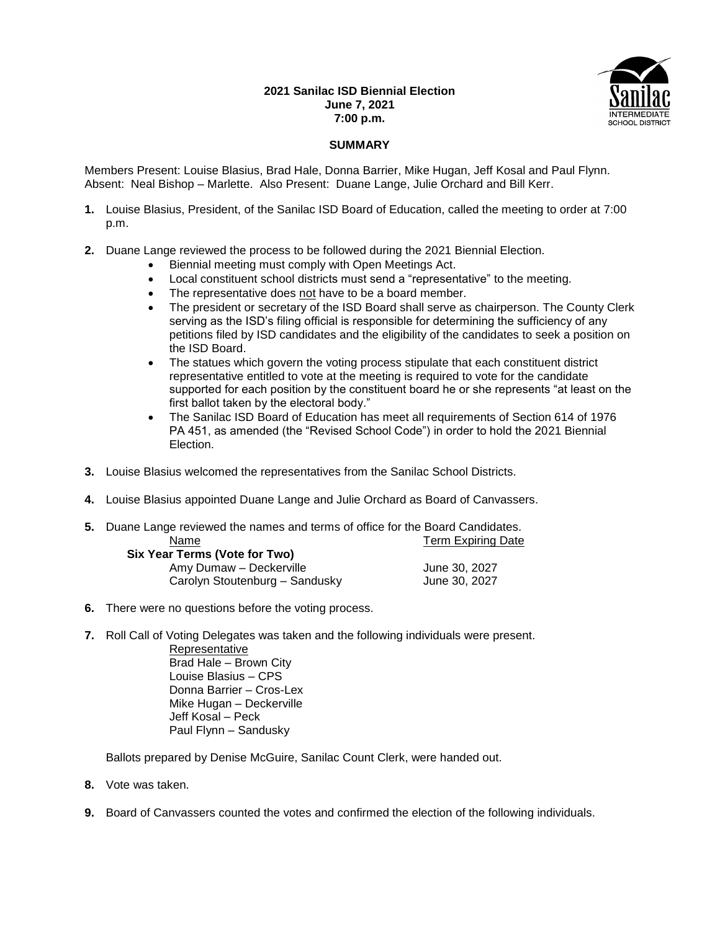## **2021 Sanilac ISD Biennial Election June 7, 2021 7:00 p.m.**



## **SUMMARY**

Members Present: Louise Blasius, Brad Hale, Donna Barrier, Mike Hugan, Jeff Kosal and Paul Flynn. Absent: Neal Bishop – Marlette. Also Present: Duane Lange, Julie Orchard and Bill Kerr.

- **1.** Louise Blasius, President, of the Sanilac ISD Board of Education, called the meeting to order at 7:00 p.m.
- **2.** Duane Lange reviewed the process to be followed during the 2021 Biennial Election.
	- Biennial meeting must comply with Open Meetings Act.
	- Local constituent school districts must send a "representative" to the meeting.
	- The representative does not have to be a board member.
	- The president or secretary of the ISD Board shall serve as chairperson. The County Clerk serving as the ISD's filing official is responsible for determining the sufficiency of any petitions filed by ISD candidates and the eligibility of the candidates to seek a position on the ISD Board.
	- The statues which govern the voting process stipulate that each constituent district representative entitled to vote at the meeting is required to vote for the candidate supported for each position by the constituent board he or she represents "at least on the first ballot taken by the electoral body."
	- The Sanilac ISD Board of Education has meet all requirements of Section 614 of 1976 PA 451, as amended (the "Revised School Code") in order to hold the 2021 Biennial Election.
- **3.** Louise Blasius welcomed the representatives from the Sanilac School Districts.
- **4.** Louise Blasius appointed Duane Lange and Julie Orchard as Board of Canvassers.
- **5.** Duane Lange reviewed the names and terms of office for the Board Candidates. Name **Name** Term Expiring Date **Six Y**

| rear Terms (Vote for Two)      |               |
|--------------------------------|---------------|
| Amy Dumaw - Deckerville        | June 30, 2027 |
| Carolyn Stoutenburg - Sandusky | June 30, 2027 |

- **6.** There were no questions before the voting process.
- **7.** Roll Call of Voting Delegates was taken and the following individuals were present.

**Representative** Brad Hale – Brown City Louise Blasius – CPS Donna Barrier – Cros-Lex Mike Hugan – Deckerville Jeff Kosal – Peck Paul Flynn – Sandusky

Ballots prepared by Denise McGuire, Sanilac Count Clerk, were handed out.

- **8.** Vote was taken.
- **9.** Board of Canvassers counted the votes and confirmed the election of the following individuals.